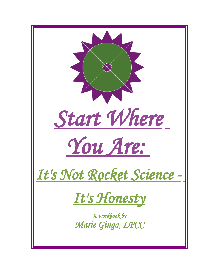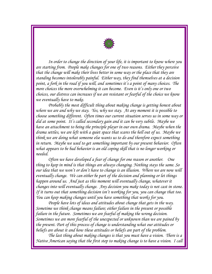

*In order to change the direction of your life, it is important to know where you are starting from. People make changes for one of two reasons. Either they perceive that the change will make their lives better in some way or the place that they are standing becomes intolerably painful. Either way, they find themselves at a decision point, a fork in the road if you will, and sometimes it's a point of many choices. The more choices the more overwhelming it can become. Even is it's only one or two choices, our distress can increases if we are resistant or fearful of the choice we know we eventually have to make.* 

*Probably the most difficult thing about making change is getting honest about where we are and why we stay. Yes, why we stay. At any moment it is possible to choose something different. Often times our current situation serves us in some way or did at some point. It's called secondary gain and it can be very subtle. Maybe we have an attachment to being the principle player in our own drama. Maybe when the drama settles, we are left with a quiet space that scares the hell out of us. Maybe we think we are doing what someone else wants us to do and therefore expect something in return. Maybe we used to get something important by our present behavior. Often what appears to be bad behavior is an old coping skill that is no longer working or needed.*

*Often we have developed a fear of change for one reason or another. One thing to keep in mind is that things are always changing. Nothing stays the same. So our idea that we won't or don't have to change is an illusion. Where we are now will eventually change. We can either be part of the decision and planning or let things happen around us. And just as this moment will eventually change, whatever it changes into will eventually change. Any decision you make today is not cast in stone. If it turns out that something decision isn't working for you, you can change that too. You can keep making changes until you have something that works for you.* 

*People have lots of ideas and attitudes about change that gets in the way. Sometime we think change means failure; either failure in the present or possible failure in the future. Sometimes we are fearful of making the wrong decision. Sometimes we are more fearful of the unexpected or unknown than we are pained by the present. Part of this process of change is understanding what our attitudes or beliefs are about it and how these attitudes or beliefs are part of the problem.* 

*The last thing about making changes is that you must have a vision. There is a Native American saying that the first step to making change is to have a vision. I call*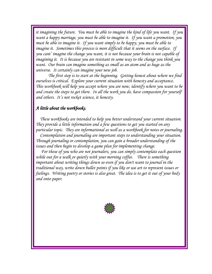*it imagining the future. You must be able to imagine the kind of life you want. If you want a happy marriage, you must be able to imagine it. If you want a promotion, you must be able to imagine it. If you want simply to be happy, you must be able to imagine it. Sometimes this process is more difficult that it seems on the surface. If you cant' imagine the change you want, it is not because your brain is not capable of imagining it. It is because you are resistant in some way to the change you think you want. Our brain can imagine something as small as an atom and as huge as the universe. It certainly can imagine your new job.* 

*The first step is to start at the beginning. Getting honest about where we find ourselves is critical. Explore your current situation with honesty and acceptance. This workbook will help you accept where you are now, identify where you want to be and create the steps to get there. In all the work you do, have compassion for yourself and others. It's not rocket science, it honesty.*

### *A little about the workbooks.*

 *These workbooks are intended to help you better understand your current situation. They provide a little information and a few questions to get you started on any particular topic. They are informational as well as a workbook for notes or journaling.*

 *Contemplation and journaling are important steps to understanding your situation. Through journaling or contemplation, you can gain a broader understanding of the issues and then begin to develop a game plan for implementing change.* 

 *For those of you who are not journalers, you can simply contemplate each question while out for a walk or quietly with your morning coffee. There is something important about writing things down so even if you don't want to journal in the traditional way, write down bullet points if you like or use art to represent issues or feelings. Writing poetry or stories is also great. The idea is to get it out of your body and onto paper.*

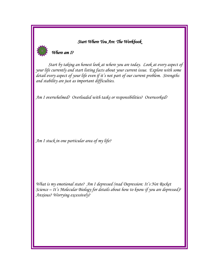### *Start Where You Are: The Workbook*



*Start by taking an honest look at where you are today. Look at every aspect of your life currently and start listing facts about your current issue. Explore with some detail every aspect of your life even if it's not part of our current problem. Strengths and stability are just as important difficulties.* 

*Am I overwhelmed? Overloaded with tasks or responsibilities? Overworked?* 

*Am I stuck in one particular area of my life?* 

*What is my emotional state? Am I depressed (read Depression: It's Not Rocket Science – It's Molecular Biology for details about how to know if you are depressed)? Anxious? Worrying excessively?*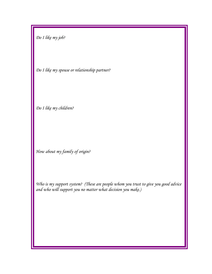*Do I like my job?* 

*Do I like my spouse or relationship partner?* 

*Do I like my children?* 

*How about my family of origin?* 

*Who is my support system? (These are people whom you trust to give you good advice and who will support you no matter what decision you make.)*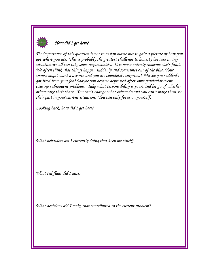

## *How did I get here?*

*The importance of this question is not to assign blame but to gain a picture of how you got where you are. This is probably the greatest challenge to honesty because in any situation we all can take some responsibility. It is never entirely someone else's fault. We often think that things happen suddenly and sometimes out of the blue. Your spouse might want a divorce and you are completely surprised! Maybe you suddenly got fired from your job? Maybe you became depressed after some particular event causing subsequent problems. Take what responsibility is yours and let go of whether others take their share. You can't change what others do and you can't make them see their part in your current situation. You can only focus on yourself.* 

*Looking back, how did I get here?*

*What behaviors am I currently doing that keep me stuck?*

*What red flags did I miss?*

*What decisions did I make that contributed to the current problem?*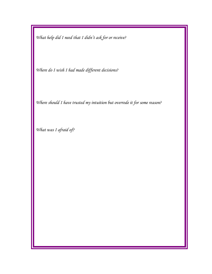*What help did I need that I didn't ask for or receive?*

*Where do I wish I had made different decisions?* 

*Where should I have trusted my intuition but overrode it for some reason?*

*What was I afraid of?*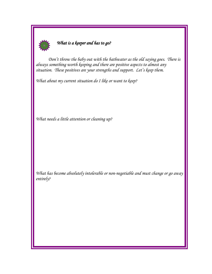

# *What is a keeper and has to go?*

*Don't throw the baby out with the bathwater as the old saying goes. There is always something worth keeping and there are positive aspects to almost any situation. These positives are your strengths and support. Let's keep them.* 

*What about my current situation do I like or want to keep?*

*What needs a little attention or cleaning up?*

*What has become absolutely intolerable or non-negotiable and must change or go away entirely?*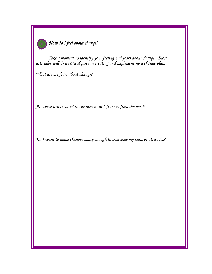

*Take a moment to identify your feeling and fears about change. These attitudes will be a critical piece in creating and implementing a change plan.* 

*What are my fears about change?*

*Are these fears related to the present or left overs from the past?*

*Do I want to make changes badly enough to overcome my fears or attitudes?*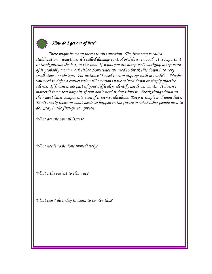

## *How do I get out of here?*

*There might be many facets to this question. The first step is called stabilization. Sometimes it's called damage control or debris removal. It is important to think outside the box on this one. If what you are doing isn't working, doing more of it probably won't work either. Sometimes we need to break this down into very small steps or substeps. For instance "I need to stop arguing with my wife". Maybe you need to defer a conversation till emotions have calmed down or simply practice silence. If finances are part of your difficulty, identify needs vs. wants. It doesn't matter if it's a real bargain, if you don't need it don't buy it. Break things down to their most basic components even if it seems ridiculous. Keep it simple and immediate. Don't overly focus on what needs to happen in the future or what other people need to do. Stay in the first-person present.* 

*What are the overall issues?*

*What needs to be done immediately?* 

*What's the easiest to clean up?*

*What can I do today to begin to resolve this?*